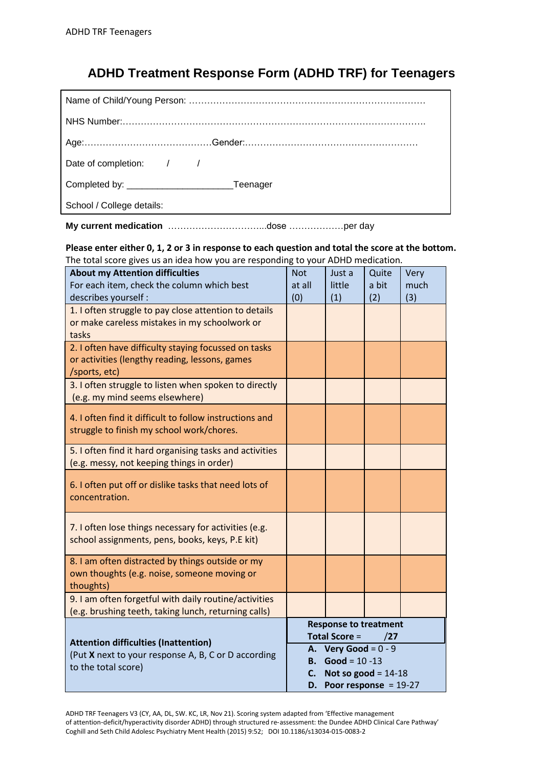## **ADHD Treatment Response Form (ADHD TRF) for Teenagers**

| Date of completion: / /   |
|---------------------------|
|                           |
| School / College details: |

**My current medication** …………………………...dose ………………per day

**Please enter either 0, 1, 2 or 3 in response to each question and total the score at the bottom.** The total score gives us an idea how you are responding to your ADHD medication.

| <b>About my Attention difficulties</b><br>For each item, check the column which best<br>describes yourself :            | <b>Not</b><br>at all<br>(0)                                 | Just a<br>little<br>(1)                                                                           | Quite<br>a bit<br>(2) | Very<br>much<br>(3) |
|-------------------------------------------------------------------------------------------------------------------------|-------------------------------------------------------------|---------------------------------------------------------------------------------------------------|-----------------------|---------------------|
| 1. I often struggle to pay close attention to details<br>or make careless mistakes in my schoolwork or<br>tasks         |                                                             |                                                                                                   |                       |                     |
| 2. I often have difficulty staying focussed on tasks<br>or activities (lengthy reading, lessons, games<br>/sports, etc) |                                                             |                                                                                                   |                       |                     |
| 3. I often struggle to listen when spoken to directly<br>(e.g. my mind seems elsewhere)                                 |                                                             |                                                                                                   |                       |                     |
| 4. I often find it difficult to follow instructions and<br>struggle to finish my school work/chores.                    |                                                             |                                                                                                   |                       |                     |
| 5. I often find it hard organising tasks and activities<br>(e.g. messy, not keeping things in order)                    |                                                             |                                                                                                   |                       |                     |
| 6. I often put off or dislike tasks that need lots of<br>concentration.                                                 |                                                             |                                                                                                   |                       |                     |
| 7. I often lose things necessary for activities (e.g.<br>school assignments, pens, books, keys, P.E kit)                |                                                             |                                                                                                   |                       |                     |
| 8. I am often distracted by things outside or my<br>own thoughts (e.g. noise, someone moving or<br>thoughts)            |                                                             |                                                                                                   |                       |                     |
| 9. I am often forgetful with daily routine/activities<br>(e.g. brushing teeth, taking lunch, returning calls)           |                                                             |                                                                                                   |                       |                     |
| <b>Attention difficulties (Inattention)</b>                                                                             | <b>Response to treatment</b><br><b>Total Score =</b><br>/27 |                                                                                                   |                       |                     |
| (Put X next to your response A, B, C or D according<br>В.<br>to the total score)<br>$\mathsf{C}$ .                      |                                                             | A. Very Good = $0 - 9$<br>$Good = 10 - 13$<br>Not so good = $14-18$<br>D. Poor response = $19-27$ |                       |                     |

ADHD TRF Teenagers V3 (CY, AA, DL, SW. KC, LR, Nov 21). Scoring system adapted from 'Effective management of attention‑deficit/hyperactivity disorder ADHD) through structured re‑assessment: the Dundee ADHD Clinical Care Pathway' Coghill and Seth Child Adolesc Psychiatry Ment Health (2015) 9:52; DOI 10.1186/s13034-015-0083-2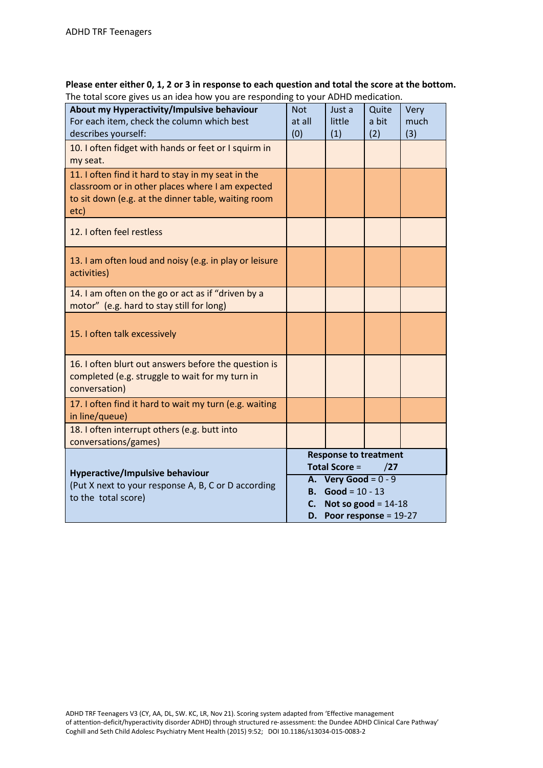| Please enter either 0, 1, 2 or 3 in response to each question and total the score at the bottom. |
|--------------------------------------------------------------------------------------------------|
| The total score gives us an idea how you are responding to your ADHD medication.                 |

| About my Hyperactivity/Impulsive behaviour<br>For each item, check the column which best<br>describes yourself:                                                       | <b>Not</b><br>at all<br>(0)                                                                                   | Just a<br>little<br>(1) | Quite<br>a bit<br>(2) | Very<br>much<br>(3) |
|-----------------------------------------------------------------------------------------------------------------------------------------------------------------------|---------------------------------------------------------------------------------------------------------------|-------------------------|-----------------------|---------------------|
| 10. I often fidget with hands or feet or I squirm in<br>my seat.                                                                                                      |                                                                                                               |                         |                       |                     |
| 11. I often find it hard to stay in my seat in the<br>classroom or in other places where I am expected<br>to sit down (e.g. at the dinner table, waiting room<br>etc) |                                                                                                               |                         |                       |                     |
| 12. I often feel restless                                                                                                                                             |                                                                                                               |                         |                       |                     |
| 13. I am often loud and noisy (e.g. in play or leisure<br>activities)                                                                                                 |                                                                                                               |                         |                       |                     |
| 14. I am often on the go or act as if "driven by a<br>motor" (e.g. hard to stay still for long)                                                                       |                                                                                                               |                         |                       |                     |
| 15. I often talk excessively                                                                                                                                          |                                                                                                               |                         |                       |                     |
| 16. I often blurt out answers before the question is<br>completed (e.g. struggle to wait for my turn in<br>conversation)                                              |                                                                                                               |                         |                       |                     |
| 17. I often find it hard to wait my turn (e.g. waiting<br>in line/queue)                                                                                              |                                                                                                               |                         |                       |                     |
| 18. I often interrupt others (e.g. butt into<br>conversations/games)                                                                                                  |                                                                                                               |                         |                       |                     |
| <b>Hyperactive/Impulsive behaviour</b>                                                                                                                                | <b>Response to treatment</b><br><b>Total Score =</b><br>/27                                                   |                         |                       |                     |
| (Put X next to your response A, B, C or D according<br>to the total score)                                                                                            | A. Very Good = $0 - 9$<br>Good = $10 - 13$<br>В.<br>Not so good = $14-18$<br>C.<br>D. Poor response = $19-27$ |                         |                       |                     |